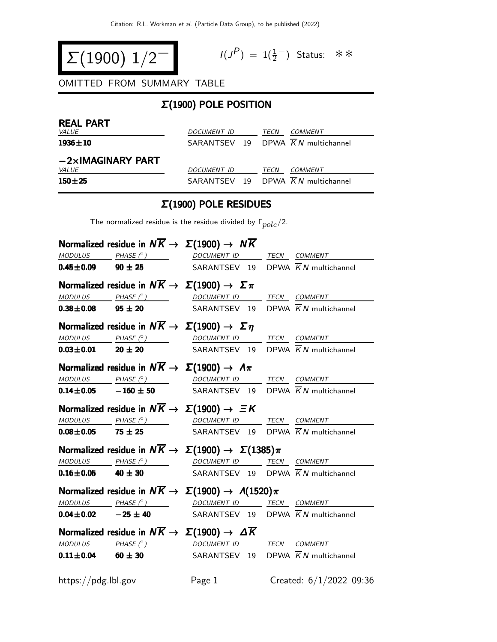$$
\Sigma(1900) 1/2^-
$$

$$
I(J^P) = 1(\frac{1}{2}^-) \quad \text{Status:} \quad \text{*} \quad \text{*}
$$

OMITTED FROM SUMMARY TABLE

# Σ(1900) POLE POSITION

| <b>REAL PART</b><br><i>VALUE</i> | DOCUMENT ID | TECN | <i>COMMENT</i>                    |
|----------------------------------|-------------|------|-----------------------------------|
| $1936 \pm 10$                    |             |      | SARANTSEV 19 DPWA KN multichannel |
| $-2\times$ IMAGINARY PART        |             |      |                                   |
| <i>VALUE</i>                     | DOCUMENT ID | TECN | <i>COMMENT</i>                    |
| $150 + 25$                       |             |      | SARANTSFV 19 DPWA KN multichannel |

#### Σ(1900) POLE RESIDUES

The normalized residue is the residue divided by  $\Gamma_{pole}/2$ .

|                             | Normalized residue in $N\overline{K} \rightarrow \Sigma(1900) \rightarrow N\overline{K}$                                                                                                                                                                                                                                                                                                                                                                    |                           |
|-----------------------------|-------------------------------------------------------------------------------------------------------------------------------------------------------------------------------------------------------------------------------------------------------------------------------------------------------------------------------------------------------------------------------------------------------------------------------------------------------------|---------------------------|
|                             | $\begin{array}{ccc}\textit{MODULUS} & \textit{PHASE (}^{\circ}) & \textit{DOCUMENT ID} & \textit{TECN} & \textit{COMMENT} \\ \end{array}$                                                                                                                                                                                                                                                                                                                   |                           |
|                             | <b>0.45±0.09 90 ± 25</b> SARANTSEV 19 DPWA $\overline{K}N$ multichannel                                                                                                                                                                                                                                                                                                                                                                                     |                           |
|                             | Normalized residue in $N\overline{K} \to \Sigma(1900) \to \Sigma \pi$                                                                                                                                                                                                                                                                                                                                                                                       |                           |
|                             | MODULUS PHASE (° ) DOCUMENT ID TECN COMMENT                                                                                                                                                                                                                                                                                                                                                                                                                 |                           |
|                             | <b>0.38±0.08</b> 95 ± 20 SARANTSEV 19 DPWA $\overline{K}N$ multichannel                                                                                                                                                                                                                                                                                                                                                                                     |                           |
|                             | Normalized residue in $N\overline{K} \rightarrow \Sigma(1900) \rightarrow \Sigma \eta$                                                                                                                                                                                                                                                                                                                                                                      |                           |
|                             | $MODULUS PHASE (°) DOCUMENT ID TECN COMMENT$                                                                                                                                                                                                                                                                                                                                                                                                                |                           |
|                             | <b>0.03±0.01</b> 20 ± 20 SARANTSEV 19 DPWA $\overline{K}N$ multichannel                                                                                                                                                                                                                                                                                                                                                                                     |                           |
|                             | Normalized residue in $N\overline{K} \rightarrow \Sigma(1900) \rightarrow \Lambda \pi$                                                                                                                                                                                                                                                                                                                                                                      |                           |
|                             | $\frac{MODULUS}{D.14\pm 0.05}$ PHASE (°) DOCUMENT ID TECN COMMENT<br><b>0.14±0.05</b> -160 ± 50 SARANTSEV 19 DPWA $\overline{K}N$ multichannel                                                                                                                                                                                                                                                                                                              |                           |
|                             |                                                                                                                                                                                                                                                                                                                                                                                                                                                             |                           |
|                             | Normalized residue in $N\overline{K} \rightarrow \Sigma(1900) \rightarrow \Xi K$                                                                                                                                                                                                                                                                                                                                                                            |                           |
|                             | MODULUS PHASE (°) DOCUMENT ID TECN COMMENT                                                                                                                                                                                                                                                                                                                                                                                                                  |                           |
| $0.08 \pm 0.05$ 75 $\pm$ 25 | SARANTSEV 19 DPWA $\overline{K}N$ multichannel                                                                                                                                                                                                                                                                                                                                                                                                              |                           |
|                             | Normalized residue in $N\overline{K} \to \Sigma(1900) \to \Sigma(1385)\pi$                                                                                                                                                                                                                                                                                                                                                                                  |                           |
|                             | $\begin{array}{ccc}\textit{MODULUS} & \textit{PHASE (}^{\circ}) & \textit{DOCUMENT ID} & \textit{TECN} & \textit{COMMENT} \\ \end{array}$                                                                                                                                                                                                                                                                                                                   |                           |
|                             | <b>0.16±0.05</b> 40 ± 30 SARANTSEV 19 DPWA $\overline{K}N$ multichannel                                                                                                                                                                                                                                                                                                                                                                                     |                           |
|                             | Normalized residue in $N\overline{K} \to \Sigma(1900) \to \Lambda(1520)\pi$                                                                                                                                                                                                                                                                                                                                                                                 |                           |
|                             | MODULUS PHASE (° ) DOCUMENT ID TECN COMMENT                                                                                                                                                                                                                                                                                                                                                                                                                 |                           |
|                             | <b>0.04±0.02</b> $-25 \pm 40$ SARANTSEV 19 DPWA $\overline{K}N$ multichannel                                                                                                                                                                                                                                                                                                                                                                                |                           |
|                             | Normalized residue in $N\overline{K} \to \Sigma(1900) \to \Delta \overline{K}$                                                                                                                                                                                                                                                                                                                                                                              |                           |
|                             | $\begin{array}{ccccccccc} \textit{MODULUS} & \textit{PHASE (}^\circ \textit{)} & \textit{DOCUMENT ID} & \textit{TECN} & \textit{COMMENT} & \textit{COMMENT} & \textit{COMMENT} & \textit{COMMENT} & \textit{DCMMENT} & \textit{DCMMENT} & \textit{DCMMENT} & \textit{COMMENT} & \textit{COMMENT} & \textit{COMMENT} & \textit{COMMENT} & \textit{COMMENT} & \textit{COMMENT} & \textit{COMMENT} & \textit{COMMENT} & \textit{COMMENT} & \textit{COMMENT} &$ |                           |
|                             | <b>0.11±0.04</b> 60 ± 30 SARANTSEV 19 DPWA $\overline{K}N$ multichannel                                                                                                                                                                                                                                                                                                                                                                                     |                           |
| https://pdg.lbl.gov         | Page 1                                                                                                                                                                                                                                                                                                                                                                                                                                                      | Created: $6/1/2022$ 09:36 |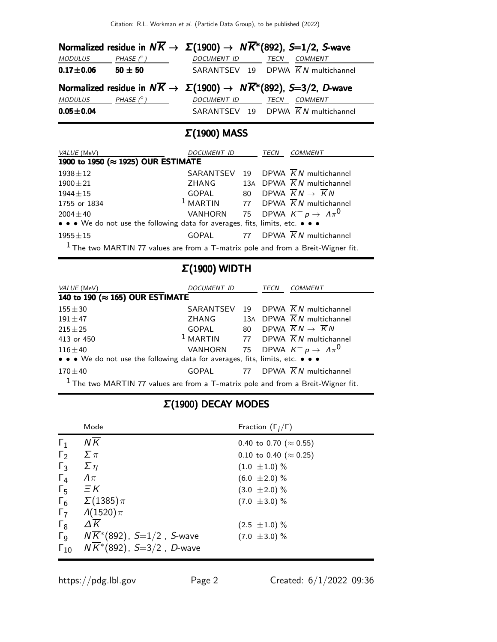|                 |                  |                  | Normalized residue in $N\overline{K} \to \Sigma(1900) \to N\overline{K}^*(892)$ , S=1/2, S-wave |
|-----------------|------------------|------------------|-------------------------------------------------------------------------------------------------|
| MODULUS         | PHASE $(^\circ)$ | DOCUMENT ID TECN | <b>COMMENT</b>                                                                                  |
| $0.17 + 0.06$   | $50 \pm 50$      |                  | SARANTSEV 19 DPWA $\overline{K}N$ multichannel                                                  |
|                 |                  |                  | Normalized residue in $N\overline{K} \to \Sigma(1900) \to N\overline{K}^*(892)$ , S=3/2, D-wave |
| MODULUS         | PHASE (° )       | DOCUMENT ID TECN | <b>COMMENT</b>                                                                                  |
| $0.05 \pm 0.04$ |                  |                  | SARANTSEV 19 DPWA $\overline{K}N$ multichannel                                                  |
|                 |                  |                  |                                                                                                 |

### Σ(1900) MASS

| <i>VALUE</i> (MeV)                                                                 | DOCUMENT ID |  | TECN | <i>COMMENT</i>                                           |
|------------------------------------------------------------------------------------|-------------|--|------|----------------------------------------------------------|
| 1900 to 1950 (≈ 1925) OUR ESTIMATE                                                 |             |  |      |                                                          |
| $1938 \pm 12$                                                                      | SARANTSEV   |  |      | 19 DPWA KN multichannel                                  |
| $1900 \pm 21$                                                                      | ZHANG       |  |      | 13A DPWA $\overline{K}N$ multichannel                    |
| $1944 \pm 15$                                                                      | GOPAL       |  |      | 80 DPWA $\overline{K}N \rightarrow \overline{K}N$        |
| 1755 or 1834                                                                       |             |  |      | <sup>1</sup> MARTIN 77 DPWA $\overline{K}N$ multichannel |
| $2004 \pm 40$                                                                      |             |  |      | VANHORN 75 DPWA $K^- p \rightarrow \Lambda \pi^0$        |
| • • • We do not use the following data for averages, fits, limits, etc. • • •      |             |  |      |                                                          |
| $1955 \pm 15$                                                                      |             |  |      | GOPAL 77 DPWA $\overline{K}N$ multichannel               |
| $1$ The two MARTIN 77 values are from a T-matrix pole and from a Breit-Wigner fit. |             |  |      |                                                          |

# Σ(1900) WIDTH

| VALUE (MeV)                                                                        | DOCUMENT ID |    | TECN | COMMENT                                                  |
|------------------------------------------------------------------------------------|-------------|----|------|----------------------------------------------------------|
| 140 to 190 (≈ 165) OUR ESTIMATE                                                    |             |    |      |                                                          |
| $155 + 30$                                                                         | SARANTSEV   |    |      | 19 DPWA $\overline{K}N$ multichannel                     |
| $191 \pm 47$                                                                       | ZHANG       |    |      | 13A DPWA $\overline{K}N$ multichannel                    |
| $215 \pm 25$                                                                       | GOPAL       | 80 |      | DPWA $\overline{K}N \rightarrow \overline{K}N$           |
| 413 or 450                                                                         |             |    |      | <sup>1</sup> MARTIN 77 DPWA $\overline{K}N$ multichannel |
| $116\pm40$                                                                         |             |    |      | VANHORN 75 DPWA $K^- p \rightarrow \Lambda \pi^0$        |
| • • • We do not use the following data for averages, fits, limits, etc. • • •      |             |    |      |                                                          |
| $170\pm40$                                                                         |             |    |      | GOPAL 77 DPWA $\overline{K}N$ multichannel               |
| $1$ The two MARTIN 77 values are from a T-matrix pole and from a Breit-Wigner fit. |             |    |      |                                                          |

# Σ(1900) DECAY MODES

|                       | Mode                                   | Fraction $(\Gamma_i/\Gamma)$   |
|-----------------------|----------------------------------------|--------------------------------|
| $\Gamma_1$            | $N\overline{K}$                        | 0.40 to 0.70 ( $\approx$ 0.55) |
| $\Gamma_2$            | $\Sigma \pi$                           | 0.10 to 0.40 ( $\approx$ 0.25) |
| $\Gamma_3$            | $\Sigma \eta$                          | $(1.0 \pm 1.0) \%$             |
| $\Gamma_4$            | $\Lambda\pi$                           | $(6.0 \pm 2.0) \%$             |
| $\Gamma_{5}$          | $\equiv$ $\kappa$                      | $(3.0 \pm 2.0)$ %              |
| $\Gamma_6$            | $\Sigma(1385)\pi$                      | $(7.0 \pm 3.0)$ %              |
| $\Gamma_7$            | $\Lambda(1520)\pi$                     |                                |
| $\Gamma_8$            | $\Delta K$                             | $(2.5 \pm 1.0) \%$             |
| $\Gamma$ <sub>9</sub> | $N\overline{K}^*(892)$ , S=1/2, S-wave | $(7.0 \pm 3.0)$ %              |
| $\Gamma_{10}$         | $N\overline{K}$ *(892), S=3/2, D-wave  |                                |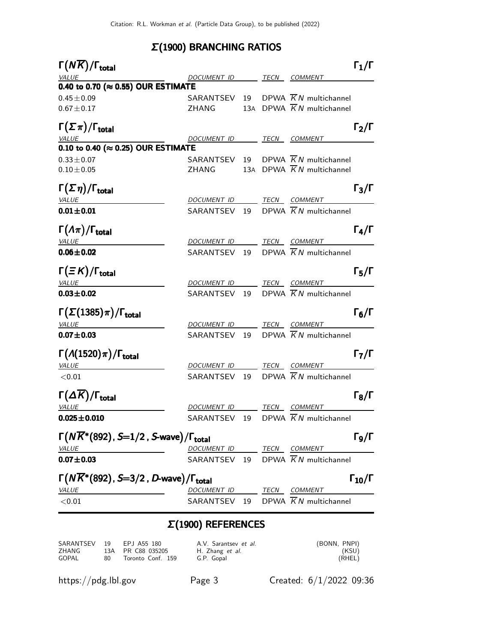### Σ(1900) BRANCHING RATIOS

| $\Gamma(N\overline{K})/\Gamma_{\rm total}$                           |                          |  |                                                | $\Gamma_1/\Gamma$    |
|----------------------------------------------------------------------|--------------------------|--|------------------------------------------------|----------------------|
| <b>VALUE</b>                                                         | DOCUMENT ID TECN COMMENT |  |                                                |                      |
| 0.40 to 0.70 ( $\approx$ 0.55) OUR ESTIMATE                          |                          |  |                                                |                      |
| $0.45 \pm 0.09$                                                      |                          |  | SARANTSEV 19 DPWA $\overline{K}N$ multichannel |                      |
| $0.67 \pm 0.17$                                                      | ZHANG                    |  | 13A DPWA $\overline{K}N$ multichannel          |                      |
| $\Gamma(\Sigma \pi)/\Gamma_{\rm total}$                              |                          |  |                                                | $\Gamma_2/\Gamma$    |
| <i>VALUE</i>                                                         | DOCUMENT ID TECN COMMENT |  |                                                |                      |
| $0.10$ to 0.40 ( $\approx$ 0.25) OUR ESTIMATE                        |                          |  |                                                |                      |
| $0.33 \pm 0.07$                                                      |                          |  | SARANTSEV 19 DPWA $\overline{K}N$ multichannel |                      |
| $0.10 \pm 0.05$                                                      | ZHANG                    |  | 13A DPWA $\overline{K}N$ multichannel          |                      |
| $\Gamma(\Sigma \eta)/\Gamma_{\rm total}$                             |                          |  |                                                | $\Gamma_3/\Gamma$    |
| <b>VALUE</b>                                                         |                          |  | DOCUMENT ID TECN COMMENT                       |                      |
| $0.01 \pm 0.01$                                                      |                          |  | SARANTSEV 19 DPWA $\overline{K}N$ multichannel |                      |
| $\Gamma(\Lambda \pi)/\Gamma_{\rm total}$                             |                          |  |                                                | $\Gamma_4/\Gamma$    |
| <b>VALUE</b>                                                         |                          |  | DOCUMENT ID TECN COMMENT                       |                      |
| $0.06 \pm 0.02$                                                      |                          |  | SARANTSEV 19 DPWA $\overline{K}N$ multichannel |                      |
| $\Gamma(\equiv K)/\Gamma_{\rm total}$                                |                          |  |                                                | $\Gamma_5/\Gamma$    |
| <b>VALUE</b>                                                         |                          |  | DOCUMENT ID TECN COMMENT                       |                      |
| $0.03 + 0.02$                                                        |                          |  | SARANTSEV 19 DPWA $\overline{K}N$ multichannel |                      |
| $\Gamma(\Sigma(1385)\pi)/\Gamma_{\rm total}$                         |                          |  |                                                | $\Gamma_6/\Gamma$    |
| <u>VALUE</u>                                                         | DOCUMENT ID TECN COMMENT |  |                                                |                      |
| $0.07 \pm 0.03$                                                      |                          |  | SARANTSEV 19 DPWA $\overline{K}N$ multichannel |                      |
| $\Gamma(\Lambda(1520)\pi)/\Gamma_{\rm total}$                        |                          |  |                                                | $\Gamma_7/\Gamma$    |
| <b>VALUE</b>                                                         | DOCUMENT ID TECN COMMENT |  |                                                |                      |
| < 0.01                                                               |                          |  | SARANTSEV 19 DPWA $\overline{K}N$ multichannel |                      |
| $\Gamma(\Delta \overline{K})/\Gamma_{\text{total}}$                  |                          |  |                                                | $\Gamma_8/\Gamma$    |
| VALUE                                                                | DOCUMENT ID TECN COMMENT |  |                                                |                      |
| $0.025 \pm 0.010$                                                    | SARANTSEV                |  | 19 DPWA $\overline{K}N$ multichannel           |                      |
| $\Gamma(N\overline{K}^*(892), S=1/2, S$ -wave)/ $\Gamma_{\rm total}$ |                          |  |                                                | $\Gamma$ Ω $\Gamma$  |
| <i><b>VALUE</b></i>                                                  | DOCUMENT ID TECN COMMENT |  |                                                |                      |
| $0.07 + 0.03$                                                        |                          |  | SARANTSEV 19 DPWA $\overline{K}N$ multichannel |                      |
| $\Gamma(N\overline{K}^*(892)$ , S=3/2, D-wave)/ $\Gamma_{\rm total}$ |                          |  |                                                | $\Gamma_{10}/\Gamma$ |
| <b>VALUE</b>                                                         | DOCUMENT ID TECN COMMENT |  |                                                |                      |
| < 0.01                                                               |                          |  | SARANTSEV 19 DPWA $\overline{K}N$ multichannel |                      |
|                                                                      |                          |  |                                                |                      |

#### Σ(1900) REFERENCES

| SARANTSEV 19 |    | EPJ A55 180       | A.V. Sarantsev et al. | (BONN, PNPI) |
|--------------|----|-------------------|-----------------------|--------------|
| ZHANG        |    | 13A PR C88 035205 | H. Zhang et al.       | (KSU)        |
| GOPAL        | 80 | Toronto Conf. 159 | G.P. Gopal            | (RHEL)       |

https://pdg.lbl.gov Page 3 Created: 6/1/2022 09:36